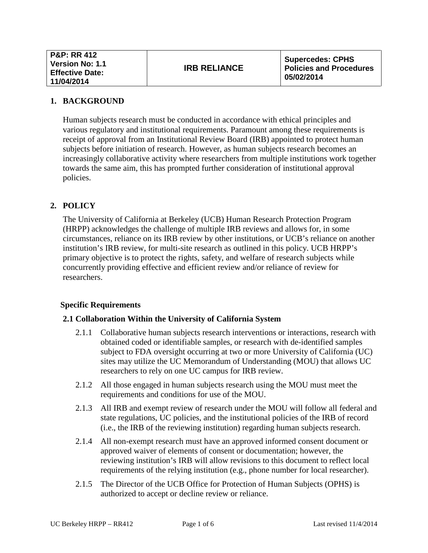### **1. BACKGROUND**

Human subjects research must be conducted in accordance with ethical principles and various regulatory and institutional requirements. Paramount among these requirements is receipt of approval from an Institutional Review Board (IRB) appointed to protect human subjects before initiation of research. However, as human subjects research becomes an increasingly collaborative activity where researchers from multiple institutions work together towards the same aim, this has prompted further consideration of institutional approval policies.

### **2. POLICY**

The University of California at Berkeley (UCB) Human Research Protection Program (HRPP) acknowledges the challenge of multiple IRB reviews and allows for, in some circumstances, reliance on its IRB review by other institutions, or UCB's reliance on another institution's IRB review, for multi-site research as outlined in this policy. UCB HRPP's primary objective is to protect the rights, safety, and welfare of research subjects while concurrently providing effective and efficient review and/or reliance of review for researchers.

### **Specific Requirements**

### **2.1 Collaboration Within the University of California System**

- 2.1.1 Collaborative human subjects research interventions or interactions, research with obtained coded or identifiable samples, or research with de-identified samples subject to FDA oversight occurring at two or more University of California (UC) sites may utilize the UC Memorandum of Understanding (MOU) that allows UC researchers to rely on one UC campus for IRB review.
- 2.1.2 All those engaged in human subjects research using the MOU must meet the requirements and conditions for use of the MOU.
- 2.1.3 All IRB and exempt review of research under the MOU will follow all federal and state regulations, UC policies, and the institutional policies of the IRB of record (i.e., the IRB of the reviewing institution) regarding human subjects research.
- 2.1.4 All non-exempt research must have an approved informed consent document or approved waiver of elements of consent or documentation; however, the reviewing institution's IRB will allow revisions to this document to reflect local requirements of the relying institution (e.g., phone number for local researcher).
- 2.1.5 The Director of the UCB Office for Protection of Human Subjects (OPHS) is authorized to accept or decline review or reliance.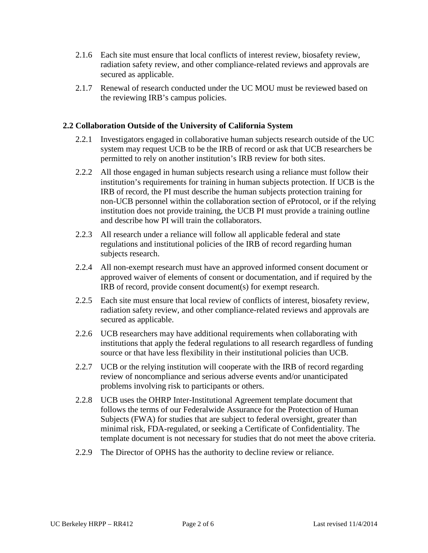- 2.1.6 Each site must ensure that local conflicts of interest review, biosafety review, radiation safety review, and other compliance-related reviews and approvals are secured as applicable.
- 2.1.7 Renewal of research conducted under the UC MOU must be reviewed based on the reviewing IRB's campus policies.

### **2.2 Collaboration Outside of the University of California System**

- 2.2.1 Investigators engaged in collaborative human subjects research outside of the UC system may request UCB to be the IRB of record or ask that UCB researchers be permitted to rely on another institution's IRB review for both sites.
- 2.2.2 All those engaged in human subjects research using a reliance must follow their institution's requirements for training in human subjects protection. If UCB is the IRB of record, the PI must describe the human subjects protection training for non-UCB personnel within the collaboration section of eProtocol, or if the relying institution does not provide training, the UCB PI must provide a training outline and describe how PI will train the collaborators.
- 2.2.3 All research under a reliance will follow all applicable federal and state regulations and institutional policies of the IRB of record regarding human subjects research.
- 2.2.4 All non-exempt research must have an approved informed consent document or approved waiver of elements of consent or documentation, and if required by the IRB of record, provide consent document(s) for exempt research.
- 2.2.5 Each site must ensure that local review of conflicts of interest, biosafety review, radiation safety review, and other compliance-related reviews and approvals are secured as applicable.
- 2.2.6 UCB researchers may have additional requirements when collaborating with institutions that apply the federal regulations to all research regardless of funding source or that have less flexibility in their institutional policies than UCB.
- 2.2.7 UCB or the relying institution will cooperate with the IRB of record regarding review of noncompliance and serious adverse events and/or unanticipated problems involving risk to participants or others.
- 2.2.8 UCB uses the OHRP Inter-Institutional Agreement template document that follows the terms of our Federalwide Assurance for the Protection of Human Subjects [\(FWA\)](http://www.hhs.gov/ohrp/assurances/assurances/filasurt.html) for studies that are subject to federal oversight, greater than minimal risk, FDA-regulated, or seeking a Certificate of Confidentiality. The template document is not necessary for studies that do not meet the above criteria.
- 2.2.9 The Director of OPHS has the authority to decline review or reliance.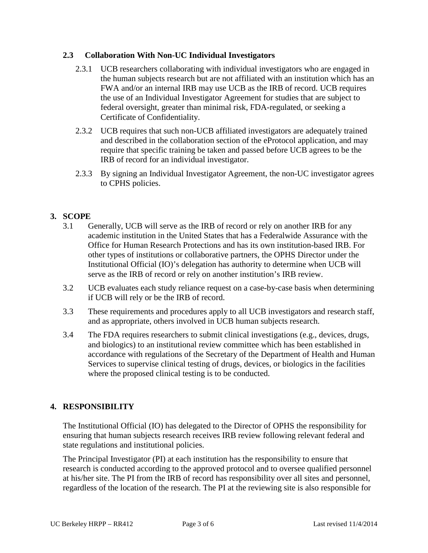## **2.3 Collaboration With Non-UC Individual Investigators**

- 2.3.1 UCB researchers collaborating with individual investigators who are engaged in the human subjects research but are not affiliated with an institution which has an FWA and/or an internal IRB may use UCB as the IRB of record. UCB requires the use of an Individual Investigator Agreement for studies that are subject to federal oversight, greater than minimal risk, FDA-regulated, or seeking a Certificate of Confidentiality.
- 2.3.2 UCB requires that such non-UCB affiliated investigators are adequately trained and described in the collaboration section of the eProtocol application, and may require that specific training be taken and passed before UCB agrees to be the IRB of record for an individual investigator.
- 2.3.3 By signing an Individual Investigator Agreement, the non-UC investigator agrees to CPHS policies.

## **3. SCOPE**

- 3.1 Generally, UCB will serve as the IRB of record or rely on another IRB for any academic institution in the United States that has a Federalwide Assurance with the Office for Human Research Protections and has its own institution-based IRB. For other types of institutions or collaborative partners, the OPHS Director under the Institutional Official (IO)'s delegation has authority to determine when UCB will serve as the IRB of record or rely on another institution's IRB review.
- 3.2 UCB evaluates each study reliance request on a case-by-case basis when determining if UCB will rely or be the IRB of record.
- 3.3 These requirements and procedures apply to all UCB investigators and research staff, and as appropriate, others involved in UCB human subjects research.
- 3.4 The FDA requires researchers to submit clinical investigations (e.g., devices, drugs, and biologics) to an institutional review committee which has been established in accordance with regulations of the Secretary of the Department of Health and Human Services to supervise clinical testing of drugs, devices, or biologics in the facilities where the proposed clinical testing is to be conducted.

# **4. RESPONSIBILITY**

The Institutional Official (IO) has delegated to the Director of OPHS the responsibility for ensuring that human subjects research receives IRB review following relevant federal and state regulations and institutional policies.

The Principal Investigator (PI) at each institution has the responsibility to ensure that research is conducted according to the approved protocol and to oversee qualified personnel at his/her site. The PI from the IRB of record has responsibility over all sites and personnel, regardless of the location of the research. The PI at the reviewing site is also responsible for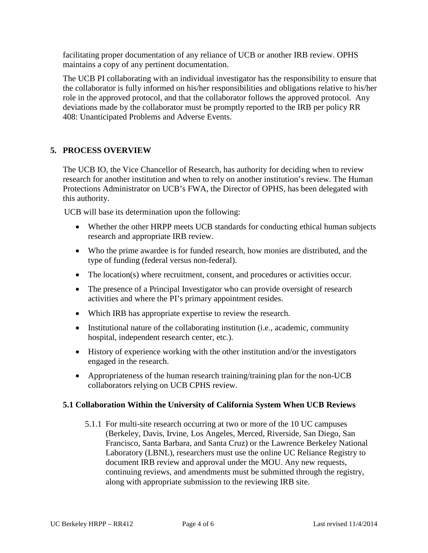facilitating proper documentation of any reliance of UCB or another IRB review. OPHS maintains a copy of any pertinent documentation.

The UCB PI collaborating with an individual investigator has the responsibility to ensure that the collaborator is fully informed on his/her responsibilities and obligations relative to his/her role in the approved protocol, and that the collaborator follows the approved protocol. Any deviations made by the collaborator must be promptly reported to the IRB per policy RR 408: Unanticipated Problems and Adverse Events.

## **5. PROCESS OVERVIEW**

The UCB IO, the Vice Chancellor of Research, has authority for deciding when to review research for another institution and when to rely on another institution's review. The Human Protections Administrator on UCB's FWA, the Director of OPHS, has been delegated with this authority.

UCB will base its determination upon the following:

- Whether the other HRPP meets UCB standards for conducting ethical human subjects research and appropriate IRB review.
- Who the prime awardee is for funded research, how monies are distributed, and the type of funding (federal versus non-federal).
- The location(s) where recruitment, consent, and procedures or activities occur.
- The presence of a Principal Investigator who can provide oversight of research activities and where the PI's primary appointment resides.
- Which IRB has appropriate expertise to review the research.
- Institutional nature of the collaborating institution (i.e., academic, community hospital, independent research center, etc.).
- History of experience working with the other institution and/or the investigators engaged in the research.
- Appropriateness of the human research training/training plan for the non-UCB collaborators relying on UCB CPHS review.

## **5.1 Collaboration Within the University of California System When UCB Reviews**

5.1.1 For multi-site research occurring at two or more of the 10 UC campuses (Berkeley, Davis, Irvine, Los Angeles, Merced, Riverside, San Diego, San Francisco, Santa Barbara, and Santa Cruz) or the Lawrence Berkeley National Laboratory (LBNL), researchers must use the online UC Reliance Registry to document IRB review and approval under the MOU. Any new requests, continuing reviews, and amendments must be submitted through the registry, along with appropriate submission to the reviewing IRB site.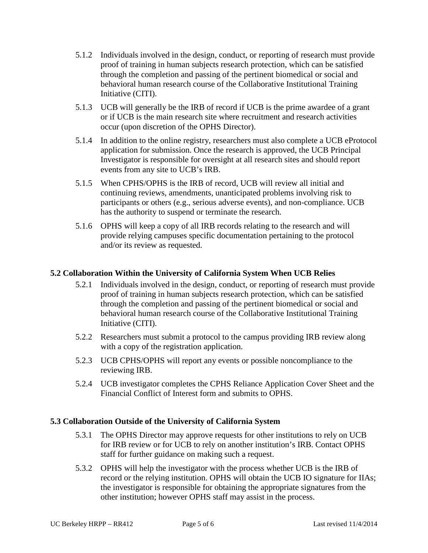- 5.1.2 Individuals involved in the design, conduct, or reporting of research must provide proof of training in human subjects research protection, which can be satisfied through the completion and passing of the pertinent biomedical or social and behavioral human research course of the Collaborative Institutional Training Initiative (CITI).
- 5.1.3 UCB will generally be the IRB of record if UCB is the prime awardee of a grant or if UCB is the main research site where recruitment and research activities occur (upon discretion of the OPHS Director).
- 5.1.4 In addition to the online registry, researchers must also complete a UCB eProtocol application for submission. Once the research is approved, the UCB Principal Investigator is responsible for oversight at all research sites and should report events from any site to UCB's IRB.
- 5.1.5 When CPHS/OPHS is the IRB of record, UCB will review all initial and continuing reviews, amendments, unanticipated problems involving risk to participants or others (e.g., serious adverse events), and non-compliance. UCB has the authority to suspend or terminate the research.
- 5.1.6 OPHS will keep a copy of all IRB records relating to the research and will provide relying campuses specific documentation pertaining to the protocol and/or its review as requested.

## **5.2 Collaboration Within the University of California System When UCB Relies**

- 5.2.1 Individuals involved in the design, conduct, or reporting of research must provide proof of training in human subjects research protection, which can be satisfied through the completion and passing of the pertinent biomedical or social and behavioral human research course of the Collaborative Institutional Training Initiative (CITI).
- 5.2.2 Researchers must submit a protocol to the campus providing IRB review along with a copy of the registration application.
- 5.2.3 UCB CPHS/OPHS will report any events or possible noncompliance to the reviewing IRB.
- 5.2.4 UCB investigator completes the CPHS Reliance Application Cover Sheet and the Financial Conflict of Interest form and submits to OPHS.

## **5.3 Collaboration Outside of the University of California System**

- 5.3.1 The OPHS Director may approve requests for other institutions to rely on UCB for IRB review or for UCB to rely on another institution's IRB. Contact OPHS staff for further guidance on making such a request.
- 5.3.2 OPHS will help the investigator with the process whether UCB is the IRB of record or the relying institution. OPHS will obtain the UCB IO signature for IIAs; the investigator is responsible for obtaining the appropriate signatures from the other institution; however OPHS staff may assist in the process.